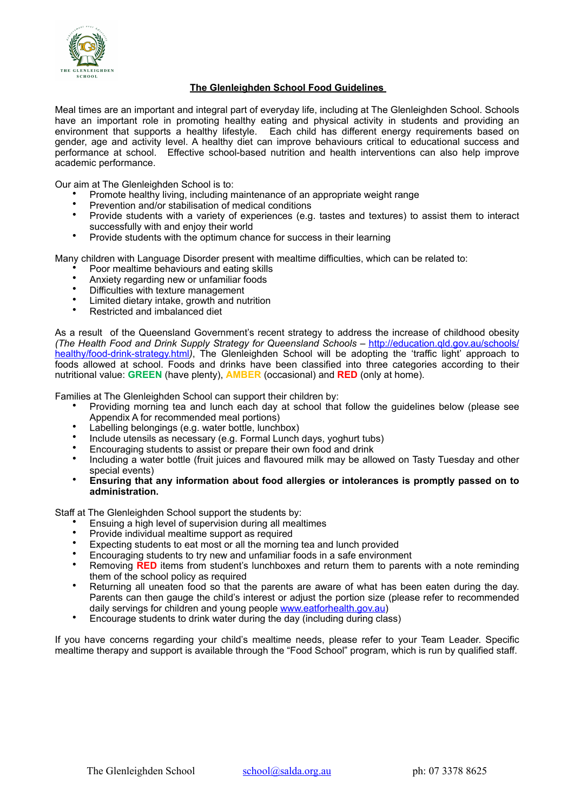

## **The Glenleighden School Food Guidelines**

Meal times are an important and integral part of everyday life, including at The Glenleighden School. Schools have an important role in promoting healthy eating and physical activity in students and providing an environment that supports a healthy lifestyle. Each child has different energy requirements based on gender, age and activity level. A healthy diet can improve behaviours critical to educational success and performance at school. Effective school-based nutrition and health interventions can also help improve academic performance.

Our aim at The Glenleighden School is to:

- Promote healthy living, including maintenance of an appropriate weight range
- Prevention and/or stabilisation of medical conditions<br>• Provide students with a variaty of experiences (e.g.
- Provide students with a variety of experiences (e.g. tastes and textures) to assist them to interact successfully with and enjoy their world
- Provide students with the optimum chance for success in their learning

Many children with Language Disorder present with mealtime difficulties, which can be related to:

- Poor mealtime behaviours and eating skills
- Anxiety regarding new or unfamiliar foods<br>• Difficulties with toxium management
- Difficulties with texture management
- Limited dietary intake, growth and nutrition
- Restricted and imbalanced diet

As a result of the Queensland Government's recent strategy to address the increase of childhood obesity *(The Health Food and Drink Supply Strategy for Queensland Schools – http://education.gld.gov.au/schools/* healthy/food-drink-strategy.html*)*[, The Glenleighden School will be adopting the 'traffic light' approach to](http://education.qld.gov.au/schools/healthy/food-drink-strategy.html) foods allowed at school. Foods and drinks have been classified into three categories according to their nutritional value: **GREEN** (have plenty), **AMBER** (occasional) and **RED** (only at home).

Families at The Glenleighden School can support their children by:

- Providing morning tea and lunch each day at school that follow the guidelines below (please see Appendix A for recommended meal portions)
- Labelling belongings (e.g. water bottle, lunchbox)
- Include utensils as necessary (e.g. Formal Lunch days, yoghurt tubs)
- Encouraging students to assist or prepare their own food and drink
- Including a water bottle (fruit juices and flavoured milk may be allowed on Tasty Tuesday and other special events)
- **Ensuring that any information about food allergies or intolerances is promptly passed on to administration.**

Staff at The Glenleighden School support the students by:

- Ensuing a high level of supervision during all mealtimes
- Provide individual mealtime support as required<br>• Expecting students to est meat or all the mergins
- Expecting students to eat most or all the morning tea and lunch provided
- Encouraging students to try new and unfamiliar foods in a safe environment
- Removing **RED** items from student's lunchboxes and return them to parents with a note reminding them of the school policy as required
- Returning all uneaten food so that the parents are aware of what has been eaten during the day. Parents can then gauge the child's interest or adjust the portion size (please refer to recommended daily servings for children and young people [www.eatforhealth.gov.au](http://www.eatforhealth.gov.au))
- Encourage students to drink water during the day (including during class)

If you have concerns regarding your child's mealtime needs, please refer to your Team Leader. Specific mealtime therapy and support is available through the "Food School" program, which is run by qualified staff.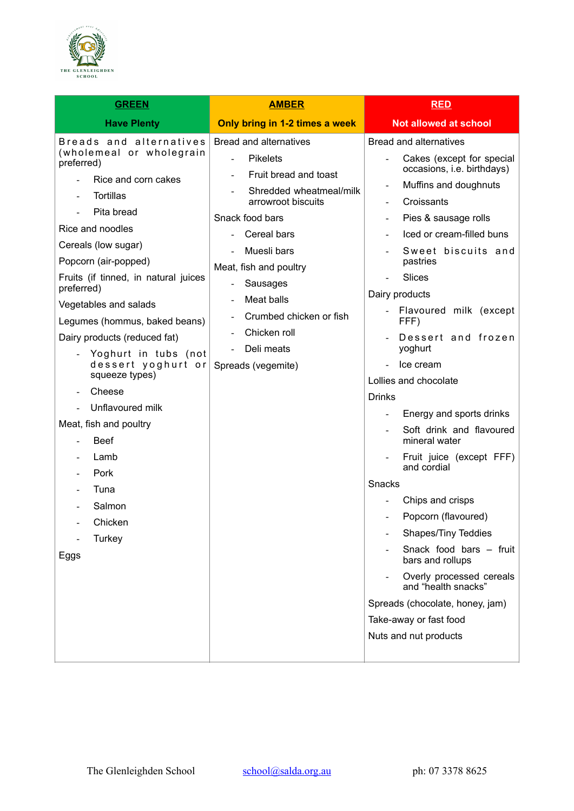

| <b>GREEN</b>                                                                                                                                                                                                                                                                                                                                                                                                                                                                                                                                          | <b>AMBER</b>                                                                                                                                                                                                                                                                                                                        | <b>RED</b>                                                                                                                                                                                                                                                                                                                                                                                                                                                                                                                                                                                                                                                                                                                                                                                      |  |
|-------------------------------------------------------------------------------------------------------------------------------------------------------------------------------------------------------------------------------------------------------------------------------------------------------------------------------------------------------------------------------------------------------------------------------------------------------------------------------------------------------------------------------------------------------|-------------------------------------------------------------------------------------------------------------------------------------------------------------------------------------------------------------------------------------------------------------------------------------------------------------------------------------|-------------------------------------------------------------------------------------------------------------------------------------------------------------------------------------------------------------------------------------------------------------------------------------------------------------------------------------------------------------------------------------------------------------------------------------------------------------------------------------------------------------------------------------------------------------------------------------------------------------------------------------------------------------------------------------------------------------------------------------------------------------------------------------------------|--|
| <b>Have Plenty</b>                                                                                                                                                                                                                                                                                                                                                                                                                                                                                                                                    | Only bring in 1-2 times a week                                                                                                                                                                                                                                                                                                      | <b>Not allowed at school</b>                                                                                                                                                                                                                                                                                                                                                                                                                                                                                                                                                                                                                                                                                                                                                                    |  |
| Breads and alternatives<br>(wholemeal or wholegrain<br>preferred)<br>Rice and corn cakes<br><b>Tortillas</b><br>Pita bread<br>Rice and noodles<br>Cereals (low sugar)<br>Popcorn (air-popped)<br>Fruits (if tinned, in natural juices<br>preferred)<br>Vegetables and salads<br>Legumes (hommus, baked beans)<br>Dairy products (reduced fat)<br>- Yoghurt in tubs (not<br>dessert yoghurt or<br>squeeze types)<br>Cheese<br>Unflavoured milk<br>Meat, fish and poultry<br><b>Beef</b><br>Lamb<br>Pork<br>Tuna<br>Salmon<br>Chicken<br>Turkey<br>Eggs | Bread and alternatives<br><b>Pikelets</b><br>Fruit bread and toast<br>Shredded wheatmeal/milk<br>arrowroot biscuits<br>Snack food bars<br>Cereal bars<br>Muesli bars<br>Meat, fish and poultry<br>Sausages<br>$\overline{\phantom{0}}$<br>Meat balls<br>Crumbed chicken or fish<br>Chicken roll<br>Deli meats<br>Spreads (vegemite) | Bread and alternatives<br>Cakes (except for special<br>occasions, i.e. birthdays)<br>Muffins and doughnuts<br>Croissants<br>Pies & sausage rolls<br>Iced or cream-filled buns<br>Sweet biscuits and<br>pastries<br><b>Slices</b><br>Dairy products<br>- Flavoured milk (except<br>FFF)<br>Dessert and frozen<br>yoghurt<br>Ice cream<br>Lollies and chocolate<br><b>Drinks</b><br>Energy and sports drinks<br>$\blacksquare$<br>Soft drink and flavoured<br>mineral water<br>Fruit juice (except FFF)<br>and cordial<br>Snacks<br>Chips and crisps<br>Popcorn (flavoured)<br><b>Shapes/Tiny Teddies</b><br>Snack food bars - fruit<br>bars and rollups<br>Overly processed cereals<br>and "health snacks"<br>Spreads (chocolate, honey, jam)<br>Take-away or fast food<br>Nuts and nut products |  |